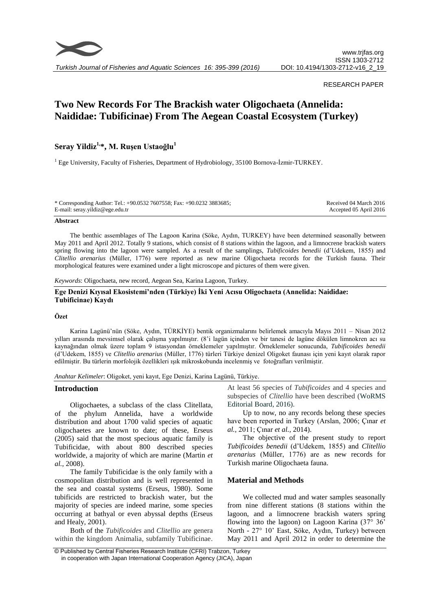

*Turkish Journal of Fisheries and Aquatic Sciences 16: 395-399 (2016)*

#### RESEARCH PAPER

# **Two New Records For The Brackish water Oligochaeta (Annelida: Naididae: Tubificinae) From The Aegean Coastal Ecosystem (Turkey)**

## **Seray Yildiz1, \*, M. Ruşen Ustaoğlu<sup>1</sup>**

<sup>1</sup> Ege University, Faculty of Fisheries, Department of Hydrobiology, 35100 Bornova-İzmir-TURKEY.

| * Corresponding Author: Tel.: +90.0532 7607558; Fax: +90.0232 3883685; | Received 04 March 2016   |
|------------------------------------------------------------------------|--------------------------|
| E-mail: seray.yildiz@ege.edu.tr                                        | Accepted 05 April $2016$ |

#### **Abstract**

The benthic assemblages of The Lagoon Karina (Söke, Aydın, TURKEY) have been determined seasonally between May 2011 and April 2012. Totally 9 stations, which consist of 8 stations within the lagoon, and a limnocrene brackish waters spring flowing into the lagoon were sampled. As a result of the samplings, *Tubificoides benedii* (d'Udekem, 1855) and *Clitellio arenarius* (Müller, 1776) were reported as new marine Oligochaeta records for the Turkish fauna. Their morphological features were examined under a light microscope and pictures of them were given.

*Keywords*: Oligochaeta, new record, Aegean Sea, Karina Lagoon, Turkey.

#### **Ege Denizi Kıyısal Ekosistemi'nden (Türkiye) İki Yeni Acısu Oligochaeta (Annelida: Naididae: Tubificinae) Kaydı**

#### **Özet**

Karina Lagünü'nün (Söke, Aydın, TÜRKİYE) bentik organizmalarını belirlemek amacıyla Mayıs 2011 – Nisan 2012 yılları arasında mevsimsel olarak çalışma yapılmıştır. (8'i lagün içinden ve bir tanesi de lagüne dökülen limnokren acı su kaynağından olmak üzere toplam 9 istasyondan örneklemeler yapılmıştır. Örneklemeler sonucunda, *Tubificoides benedii*  (d'Udekem, 1855) ve *Clitellio arenarius* (Müller, 1776) türleri Türkiye denizel Oligoket faunası için yeni kayıt olarak rapor edilmiştir. Bu türlerin morfolojik özellikleri ışık mikroskobunda incelenmiş ve fotoğrafları verilmiştir.

*Anahtar Kelimeler*: Oligoket, yeni kayıt, Ege Denizi, Karina Lagünü, Türkiye.

#### **Introduction**

Oligochaetes, a subclass of the class Clitellata, of the phylum Annelida, have a worldwide distribution and about 1700 valid species of aquatic oligochaetes are known to date; of these, Erseus (2005) said that the most specious aquatic family is Tubificidae, with about 800 described species worldwide, a majority of which are marine (Martin *et al.*, 2008).

The family Tubificidae is the only family with a cosmopolitan distribution and is well represented in the sea and coastal systems (Erseus, 1980). Some tubificids are restricted to brackish water, but the majority of species are indeed marine, some species occurring at bathyal or even abyssal depths (Erseus and Healy, 2001).

Both of the *Tubificoides* and *Clitellio* are genera within the kingdom Animalia, subfamily Tubificinae. At least 56 species of *Tubificoides* and 4 species and subspecies of *Clitellio* have been described (WoRMS Editorial Board, 2016).

Up to now, no any records belong these species have been reported in Turkey (Arslan, 2006; Çınar *et al.,* 2011; Çınar *et al.,* 2014).

The objective of the present study to report *Tubificoides benedii* (d'Udekem, 1855) and *Clitellio arenarius* (Müller, 1776) are as new records for Turkish marine Oligochaeta fauna.

## **Material and Methods**

We collected mud and water samples seasonally from nine different stations (8 stations within the lagoon, and a limnocrene brackish waters spring flowing into the lagoon) on Lagoon Karina  $(37^{\circ} 36^{\circ})$ North - 27° 10' East, Söke, Aydın, Turkey) between May 2011 and April 2012 in order to determine the

<sup>©</sup> Published by Central Fisheries Research Institute (CFRI) Trabzon, Turkey in cooperation with Japan International Cooperation Agency (JICA), Japan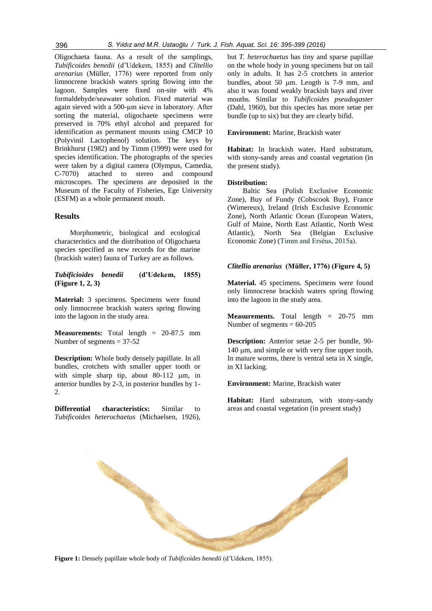Oligochaeta fauna. As a result of the samplings, *Tubificoides benedii* (d'Udekem, 1855) and *Clitellio arenarius* (Müller, 1776) were reported from only limnocrene brackish waters spring flowing into the lagoon. Samples were fixed on-site with 4% formaldehyde/seawater solution. Fixed material was again sieved with a 500-µm sieve in laboratory. After sorting the material, oligochaete specimens were preserved in 70% ethyl alcohol and prepared for identification as permanent mounts using CMCP 10 (Polyvinil Lactophenol) solution. The keys by Brinkhurst (1982) and by Timm (1999) were used for species identification. The photographs of the species

were taken by a digital camera (Olympus, Camedia, C-7070) attached to stereo and compound microscopes. The specimens are deposited in the Museum of the Faculty of Fisheries, Ege University (ESFM) as a whole permanent mouth.

## **Results**

Morphometric, biological and ecological characteristics and the distribution of Oligochaeta species specified as new records for the marine (brackish water) fauna of Turkey are as follows.

*Tubificioides benedii* **(d'Udekem, 1855) (Figure 1, 2, 3)**

**Material:** 3 specimens. Specimens were found only limnocrene brackish waters spring flowing into the lagoon in the study area.

**Measurements:** Total length = 20-87.5 mm Number of segments  $= 37-52$ 

**Description:** Whole body densely papillate. In all bundles, crotchets with smaller upper tooth or with simple sharp tip, about  $80-112 \mu m$ , in anterior bundles by 2-3, in posterior bundles by 1-  $2<sup>2</sup>$ 

**Differential characteristics:** Similar to *Tubificoides heterochaetus* (Michaelsen, 1926),

e de la partide de la partide de la partide de la partide de la partide de la partide de la partide de la partide de la partide de la partide de la partide de la partide de la partide de la partide de la partide de la part

but *T. heterochaetus* has tiny and sparse papillae on the whole body in young specimens but on tail only in adults. It has 2-5 crotchets in anterior bundles, about 50 µm. Length is 7-9 mm, and also it was found weakly brackish bays and river mouths. Similar to *Tubificoides pseudogaster* (Dahl, 1960), but this species has more setae per bundle (up to six) but they are clearly bifid.

**Environment:** Marine, Brackish water

**Habitat:** In brackish water**.** Hard substratum, with stony-sandy areas and coastal vegetation (in the present study).

## **Distribution:**

Baltic Sea (Polish Exclusive Economic Zone), Buy of Fundy (Cobscook Buy), France (Wimereux), Ireland (Irish Exclusive Economic Zone), North Atlantic Ocean (European Waters, Gulf of Maine, North East Atlantic, North West Atlantic), North Sea (Belgian Exclusive Economic Zone) (Timm and Erséus, 2015a).

## *Clitellio arenarius* **(Müller, 1776) (Figure 4, 5)**

**Material.** 45 specimens. Specimens were found only limnocrene brackish waters spring flowing into the lagoon in the study area.

**Measurements.** Total length = 20-75 mm Number of segments  $= 60-205$ 

**Description:** Anterior setae 2-5 per bundle, 90-  $140 \mu m$ , and simple or with very fine upper tooth. In mature worms, there is ventral seta in X single, in XI lacking.

**Environment:** Marine, Brackish water

**Habitat:** Hard substratum, with stony-sandy areas and coastal vegetation (in present study)



**Figure 1:** Densely papillate whole body of *Tubificoides benedii* (d'Udekem, 1855).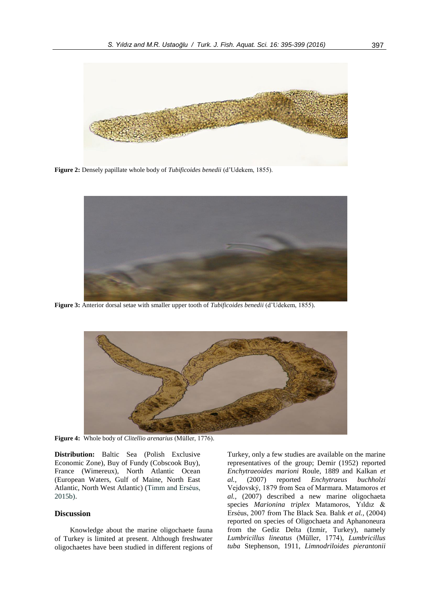

**Figure 2:** Densely papillate whole body of *Tubificoides benedii* (d'Udekem, 1855).



**Figure 3:** Anterior dorsal setae with smaller upper tooth of *Tubificoides benedii* (d'Udekem, 1855).



**Figure 4:** Whole body of *Clitellio arenarius* (Müller, 1776).

**Distribution:** Baltic Sea (Polish Exclusive Economic Zone), Buy of Fundy (Cobscook Buy), France (Wimereux), North Atlantic Ocean (European Waters, Gulf of Maine, North East Atlantic, North West Atlantic) (Timm and Erséus, 2015b).

## **Discussion**

Knowledge about the marine oligochaete fauna of Turkey is limited at present. Although freshwater oligochaetes have been studied in different regions of Turkey, only a few studies are available on the marine representatives of the group; Demir (1952) reported *Enchytraeoides marioni* Roule, 1889 and Kalkan *et al.,* (2007) reported *Enchytraeus buchholzi*  Vejdovsk , 1879 from Sea of Marmara. Matamoros *et al.,* (2007) described a new marine oligochaeta species *Marionina triplex* Matamoros, Yıldız Erséus, 2007 from The Black Sea. Balık *et al.,* (2004) reported on species of Oligochaeta and Aphanoneura from the Gediz Delta (Izmir, Turkey), namely *Lumbricillus lineatus* (Müller, 1774), *Lumbricillus tuba* Stephenson, 1911, *Limnodriloides pierantonii*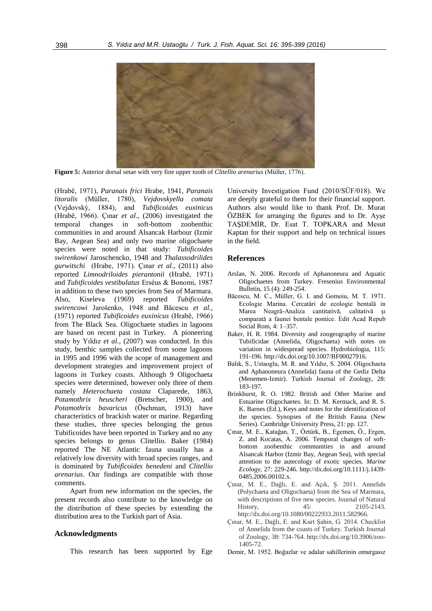

**Figure 5:** Anterior dorsal setae with very fine upper tooth of *Clitellio arenarius* (Müller, 1776).

(Hrab , 1971), *Paranais frici* Hrabe, 1941, *Paranais litoralis* (Müller, 1780), *Vejdovskyella comata*  (Vejdovsk , 1884), and *Tubificoides euxinicus*  (Hrabě, 1966). Çınar et al., (2006) investigated the temporal changes in soft-bottom zoobenthic communities in and around Alsancak Harbour (Izmir Bay, Aegean Sea) and only two marine oligochaete species were noted in that study: *Tubificoides swirenkowi* Jaroschencko, 1948 and *Thalassodrilides gurwitschi* (Hrabe, 1971). Çınar *et al*., (2011) also reported *Limnodriloides pierantonii* (Hrabě, 1971) and *Tubificoides vestibulatus* Erséus & Bonomi, 1987 in addition to these two species from Sea of Marmara. Also, Kiseleva (1969) reported *Tubificoides swirencowi* Jarošenko, 1948 and Băcescu et al., (1971) reported *Tubificoides euxinicus* (Hrabě, 1966) from The Black Sea. Oligochaete studies in lagoons are based on recent past in Turkey. A pioneering study by Yıldız *et al.,* (2007) was conducted. In this study, benthic samples collected from some lagoons in 1995 and 1996 with the scope of management and development strategies and improvement project of lagoons in Turkey coasts. Although 9 Oligochaeta species were determined, however only three of them namely *Heterochaeta costata* Claparede, 1863, *Potamothrix heuscheri* (Bretscher, 1900), and *Potamothrix bavaricus* (Öschman, 1913) have characteristics of brackish water or marine. Regarding these studies, three species belonging the genus Tubificoides have been reported in Turkey and no any species belongs to genus Clitellio. Baker (1984) reported The NE Atlantic fauna usually has a relatively low diversity with broad species ranges, and is dominated by *Tubificoides benedeni* and *Clitellio arenarius*. Our findings are compatible with those comments.

Apart from new information on the species, the present records also contribute to the knowledge on the distribution of these species by extending the distribution area to the Turkish part of Asia.

#### **Acknowledgments**

This research has been supported by Ege

University Investigation Fund (2010/SÜF/018). We are deeply grateful to them for their financial support. Authors also would like to thank Prof. Dr. Murat ÖZBEK for arranging the figures and to Dr. Ayşe TAŞDEMİR, Dr. Esat T. TOPKARA and Mesut Kaptan for their support and help on technical issues in the field.

#### **References**

- Arslan, N. 2006. Records of Aphanoneura and Aquatic Oligochaetes from Turkey. Fresenius Environmental Bulletin, 15 (4): 249-254.
- Băcescu, M. C., Müller, G. I. and Gomoiu, M. T. 1971. Ecologie Marina. Cercatări de ecologie bentală in Marea Neagră-Analiza cantitativă, calitativă și comparată a faunei bentale pontice. Edit Acad Repub Social Rom, 4: 1–357.
- Baker, H. R. 1984. Diversity and zoogeography of marine Tubificidae (Annelida, Oligochaeta) with notes on variation in widespread species. Hydrobiologia, 115: 191-196. http://dx.doi.org/10.1007/BF00027916.
- Balık, S., Ustaoglu, M. R. and Yıldız, S. 2004. Oligochaeta and Aphanoneura (Annelida) fauna of the Gediz Delta (Menemen-Izmir). Turkish Journal of Zoology, 28: 183-197.
- Brinkhurst, R. O. 1982. British and Other Marine and Estuarine Oligochaetes. In: D. M. Kermack, and R. S. K. Barnes (Ed.), Keys and notes for the identification of the species. Synopses of the British Fauna (New Series). Cambridge University Press, 21: pp. 127.
- Çınar, M. E., Katağan, T., Öztürk, B., Egemen, Ö., Ergen, Z. and Kocatas, A. 2006. Temporal changes of softbottom zoobenthic communities in and around Alsancak Harbor (Izmir Bay, Aegean Sea), with special attention to the autecology of exotic species. *Marine Ecology,* 27: 229-246. http://dx.doi.org/10.1111/j.1439- 0485.2006.00102.x.
- Çınar, M. E., Dağlı, E. and Açık, Ş. 2011. Annelids (Polychaeta and Oligochaeta) from the Sea of Marmara, with descriptions of five new species. Journal of Natural History, 45: 2105-2143. http://dx.doi.org/10.1080/00222933.2011.582966.
- Çınar, M. E., Dağlı, E. and Kurt Şahin, G. 2014. Checklist of Annelida from the coasts of Turkey. Turkish Journal of Zoology, 38: 734-764. http://dx.doi.org/10.3906/zoo-1405-72.
- Demir, M. 1952. Boğazlar ve adalar sahillerinin omurgasız